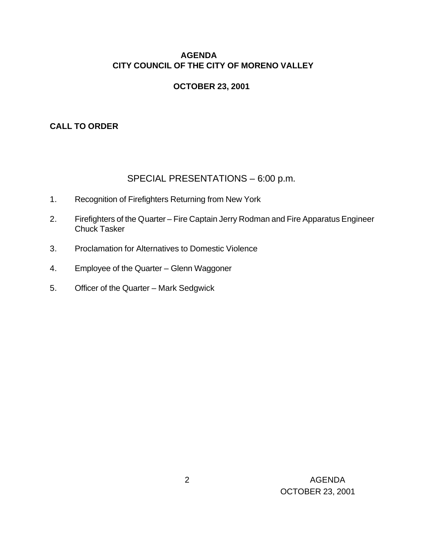## **AGENDA CITY COUNCIL OF THE CITY OF MORENO VALLEY**

### **OCTOBER 23, 2001**

### **CALL TO ORDER**

# SPECIAL PRESENTATIONS – 6:00 p.m.

- 1. Recognition of Firefighters Returning from New York
- 2. Firefighters of the Quarter Fire Captain Jerry Rodman and Fire Apparatus Engineer Chuck Tasker
- 3. Proclamation for Alternatives to Domestic Violence
- 4. Employee of the Quarter Glenn Waggoner
- 5. Officer of the Quarter Mark Sedgwick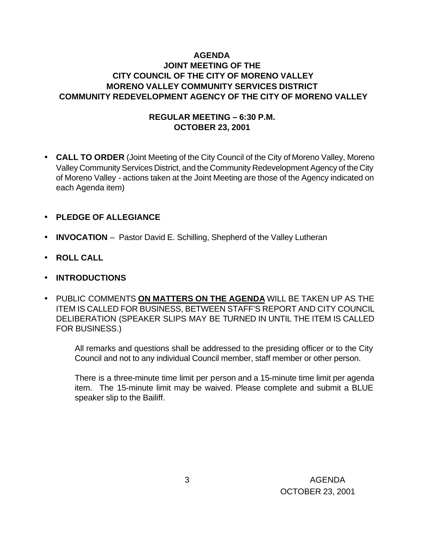### **AGENDA JOINT MEETING OF THE CITY COUNCIL OF THE CITY OF MORENO VALLEY MORENO VALLEY COMMUNITY SERVICES DISTRICT COMMUNITY REDEVELOPMENT AGENCY OF THE CITY OF MORENO VALLEY**

#### **REGULAR MEETING – 6:30 P.M. OCTOBER 23, 2001**

- **CALL TO ORDER** (Joint Meeting of the City Council of the City of Moreno Valley, Moreno Valley Community Services District, and the Community Redevelopment Agency of the City of Moreno Valley - actions taken at the Joint Meeting are those of the Agency indicated on each Agenda item)
- **PLEDGE OF ALLEGIANCE**
- **INVOCATION** Pastor David E. Schilling, Shepherd of the Valley Lutheran
- **ROLL CALL**
- **INTRODUCTIONS**
- PUBLIC COMMENTS **ON MATTERS ON THE AGENDA** WILL BE TAKEN UP AS THE ITEM IS CALLED FOR BUSINESS, BETWEEN STAFF'S REPORT AND CITY COUNCIL DELIBERATION (SPEAKER SLIPS MAY BE TURNED IN UNTIL THE ITEM IS CALLED FOR BUSINESS.)

All remarks and questions shall be addressed to the presiding officer or to the City Council and not to any individual Council member, staff member or other person.

There is a three-minute time limit per person and a 15-minute time limit per agenda item. The 15-minute limit may be waived. Please complete and submit a BLUE speaker slip to the Bailiff.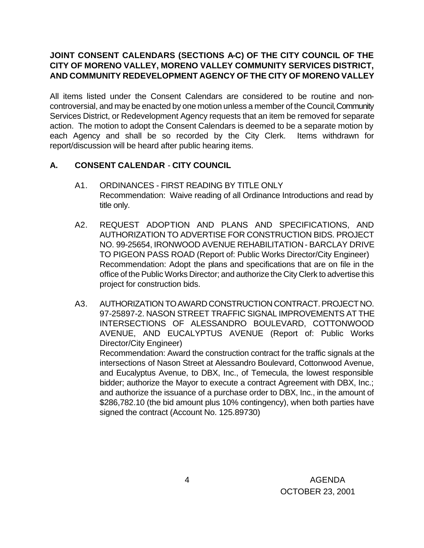## **JOINT CONSENT CALENDARS (SECTIONS A-C) OF THE CITY COUNCIL OF THE CITY OF MORENO VALLEY, MORENO VALLEY COMMUNITY SERVICES DISTRICT, AND COMMUNITY REDEVELOPMENT AGENCY OF THE CITY OF MORENO VALLEY**

All items listed under the Consent Calendars are considered to be routine and noncontroversial, and may be enacted by one motion unless a member of the Council, Community Services District, or Redevelopment Agency requests that an item be removed for separate action. The motion to adopt the Consent Calendars is deemed to be a separate motion by each Agency and shall be so recorded by the City Clerk. Items withdrawn for report/discussion will be heard after public hearing items.

#### **A. CONSENT CALENDAR** - **CITY COUNCIL**

- A1. ORDINANCES FIRST READING BY TITLE ONLY Recommendation: Waive reading of all Ordinance Introductions and read by title only.
- A2. REQUEST ADOPTION AND PLANS AND SPECIFICATIONS, AND AUTHORIZATION TO ADVERTISE FOR CONSTRUCTION BIDS. PROJECT NO. 99-25654, IRONWOOD AVENUE REHABILITATION - BARCLAY DRIVE TO PIGEON PASS ROAD (Report of: Public Works Director/City Engineer) Recommendation: Adopt the plans and specifications that are on file in the office of the Public Works Director; and authorize the City Clerk to advertise this project for construction bids.
- A3. AUTHORIZATION TO AWARD CONSTRUCTION CONTRACT. PROJECT NO. 97-25897-2. NASON STREET TRAFFIC SIGNAL IMPROVEMENTS AT THE INTERSECTIONS OF ALESSANDRO BOULEVARD, COTTONWOOD AVENUE, AND EUCALYPTUS AVENUE (Report of: Public Works Director/City Engineer)

Recommendation: Award the construction contract for the traffic signals at the intersections of Nason Street at Alessandro Boulevard, Cottonwood Avenue, and Eucalyptus Avenue, to DBX, Inc., of Temecula, the lowest responsible bidder; authorize the Mayor to execute a contract Agreement with DBX, Inc.; and authorize the issuance of a purchase order to DBX, Inc., in the amount of \$286,782.10 (the bid amount plus 10% contingency), when both parties have signed the contract (Account No. 125.89730)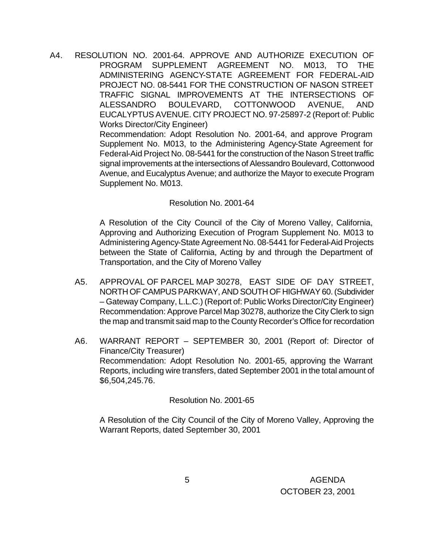A4. RESOLUTION NO. 2001-64. APPROVE AND AUTHORIZE EXECUTION OF PROGRAM SUPPLEMENT AGREEMENT NO. M013, TO THE ADMINISTERING AGENCY-STATE AGREEMENT FOR FEDERAL-AID PROJECT NO. 08-5441 FOR THE CONSTRUCTION OF NASON STREET TRAFFIC SIGNAL IMPROVEMENTS AT THE INTERSECTIONS OF ALESSANDRO BOULEVARD, COTTONWOOD AVENUE, AND EUCALYPTUS AVENUE. CITY PROJECT NO. 97-25897-2 (Report of: Public Works Director/City Engineer)

Recommendation: Adopt Resolution No. 2001-64, and approve Program Supplement No. M013, to the Administering Agency-State Agreement for Federal-Aid Project No. 08-5441 for the construction of the Nason Street traffic signal improvements at the intersections of Alessandro Boulevard, Cottonwood Avenue, and Eucalyptus Avenue; and authorize the Mayor to execute Program Supplement No. M013.

#### Resolution No. 2001-64

A Resolution of the City Council of the City of Moreno Valley, California, Approving and Authorizing Execution of Program Supplement No. M013 to Administering Agency-State Agreement No. 08-5441 for Federal-Aid Projects between the State of California, Acting by and through the Department of Transportation, and the City of Moreno Valley

- A5. APPROVAL OF PARCEL MAP 30278, EAST SIDE OF DAY STREET, NORTH OF CAMPUS PARKWAY, AND SOUTH OF HIGHWAY 60. (Subdivider – Gateway Company, L.L.C.) (Report of: Public Works Director/City Engineer) Recommendation: Approve Parcel Map 30278, authorize the City Clerk to sign the map and transmit said map to the County Recorder's Office for recordation
- A6. WARRANT REPORT SEPTEMBER 30, 2001 (Report of: Director of Finance/City Treasurer) Recommendation: Adopt Resolution No. 2001-65, approving the Warrant Reports, including wire transfers, dated September 2001 in the total amount of \$6,504,245.76.

Resolution No. 2001-65

A Resolution of the City Council of the City of Moreno Valley, Approving the Warrant Reports, dated September 30, 2001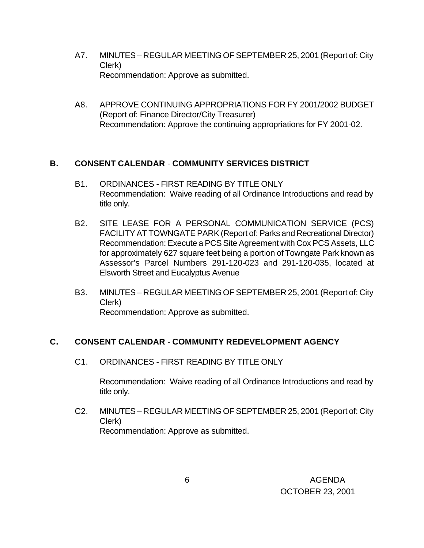- A7. MINUTES REGULAR MEETING OF SEPTEMBER 25, 2001 (Report of: City Clerk) Recommendation: Approve as submitted.
- A8. APPROVE CONTINUING APPROPRIATIONS FOR FY 2001/2002 BUDGET (Report of: Finance Director/City Treasurer) Recommendation: Approve the continuing appropriations for FY 2001-02.

#### **B. CONSENT CALENDAR** - **COMMUNITY SERVICES DISTRICT**

- B1. ORDINANCES FIRST READING BY TITLE ONLY Recommendation: Waive reading of all Ordinance Introductions and read by title only.
- B2. SITE LEASE FOR A PERSONAL COMMUNICATION SERVICE (PCS) FACILITY AT TOWNGATE PARK (Report of: Parks and Recreational Director) Recommendation: Execute a PCS Site Agreement with Cox PCS Assets, LLC for approximately 627 square feet being a portion of Towngate Park known as Assessor's Parcel Numbers 291-120-023 and 291-120-035, located at Elsworth Street and Eucalyptus Avenue
- B3. MINUTES REGULAR MEETING OF SEPTEMBER 25, 2001 (Report of: City Clerk) Recommendation: Approve as submitted.

#### **C. CONSENT CALENDAR** - **COMMUNITY REDEVELOPMENT AGENCY**

C1. ORDINANCES - FIRST READING BY TITLE ONLY

Recommendation: Waive reading of all Ordinance Introductions and read by title only.

C2. MINUTES – REGULAR MEETING OF SEPTEMBER 25, 2001 (Report of: City Clerk) Recommendation: Approve as submitted.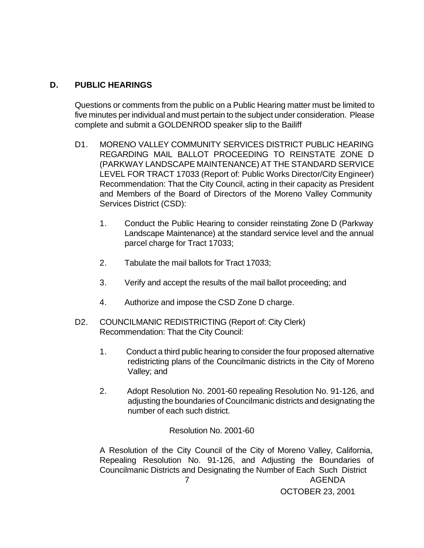#### **D. PUBLIC HEARINGS**

Questions or comments from the public on a Public Hearing matter must be limited to five minutes per individual and must pertain to the subject under consideration. Please complete and submit a GOLDENROD speaker slip to the Bailiff

- D1. MORENO VALLEY COMMUNITY SERVICES DISTRICT PUBLIC HEARING REGARDING MAIL BALLOT PROCEEDING TO REINSTATE ZONE D (PARKWAY LANDSCAPE MAINTENANCE) AT THE STANDARD SERVICE LEVEL FOR TRACT 17033 (Report of: Public Works Director/City Engineer) Recommendation: That the City Council, acting in their capacity as President and Members of the Board of Directors of the Moreno Valley Community Services District (CSD):
	- 1. Conduct the Public Hearing to consider reinstating Zone D (Parkway Landscape Maintenance) at the standard service level and the annual parcel charge for Tract 17033;
	- 2. Tabulate the mail ballots for Tract 17033;
	- 3. Verify and accept the results of the mail ballot proceeding; and
	- 4. Authorize and impose the CSD Zone D charge.
- D2. COUNCILMANIC REDISTRICTING (Report of: City Clerk) Recommendation: That the City Council:
	- 1. Conduct a third public hearing to consider the four proposed alternative redistricting plans of the Councilmanic districts in the City of Moreno Valley; and
	- 2. Adopt Resolution No. 2001-60 repealing Resolution No. 91-126, and adjusting the boundaries of Councilmanic districts and designating the number of each such district.

Resolution No. 2001-60

 7 AGENDA OCTOBER 23, 2001 A Resolution of the City Council of the City of Moreno Valley, California, Repealing Resolution No. 91-126, and Adjusting the Boundaries of Councilmanic Districts and Designating the Number of Each Such District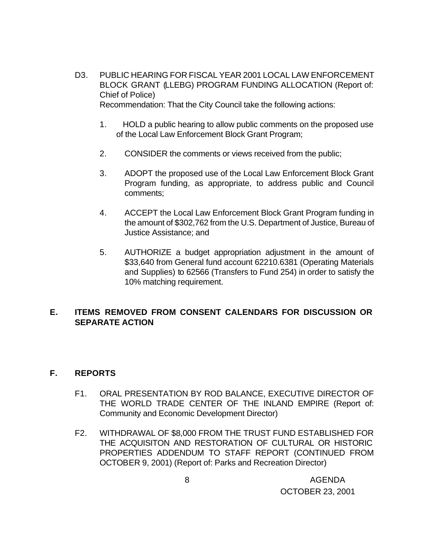- D3. PUBLIC HEARING FOR FISCAL YEAR 2001 LOCAL LAW ENFORCEMENT BLOCK GRANT (LLEBG) PROGRAM FUNDING ALLOCATION (Report of: Chief of Police) Recommendation: That the City Council take the following actions:
	- 1. HOLD a public hearing to allow public comments on the proposed use of the Local Law Enforcement Block Grant Program;
	- 2. CONSIDER the comments or views received from the public;
	- 3. ADOPT the proposed use of the Local Law Enforcement Block Grant Program funding, as appropriate, to address public and Council comments;
	- 4. ACCEPT the Local Law Enforcement Block Grant Program funding in the amount of \$302,762 from the U.S. Department of Justice, Bureau of Justice Assistance; and
	- 5. AUTHORIZE a budget appropriation adjustment in the amount of \$33,640 from General fund account 62210.6381 (Operating Materials and Supplies) to 62566 (Transfers to Fund 254) in order to satisfy the 10% matching requirement.

#### **E. ITEMS REMOVED FROM CONSENT CALENDARS FOR DISCUSSION OR SEPARATE ACTION**

#### **F. REPORTS**

- F1. ORAL PRESENTATION BY ROD BALANCE, EXECUTIVE DIRECTOR OF THE WORLD TRADE CENTER OF THE INLAND EMPIRE (Report of: Community and Economic Development Director)
- F2. WITHDRAWAL OF \$8,000 FROM THE TRUST FUND ESTABLISHED FOR THE ACQUISITON AND RESTORATION OF CULTURAL OR HISTORIC PROPERTIES ADDENDUM TO STAFF REPORT (CONTINUED FROM OCTOBER 9, 2001) (Report of: Parks and Recreation Director)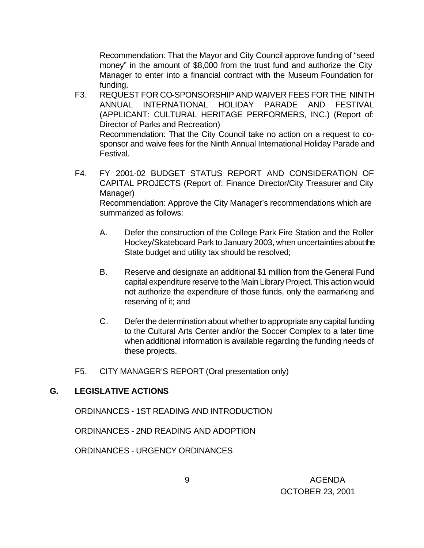Recommendation: That the Mayor and City Council approve funding of "seed money" in the amount of \$8,000 from the trust fund and authorize the City Manager to enter into a financial contract with the Museum Foundation for funding.

F3. REQUEST FOR CO-SPONSORSHIP AND WAIVER FEES FOR THE NINTH ANNUAL INTERNATIONAL HOLIDAY PARADE AND FESTIVAL (APPLICANT: CULTURAL HERITAGE PERFORMERS, INC.) (Report of: Director of Parks and Recreation)

Recommendation: That the City Council take no action on a request to cosponsor and waive fees for the Ninth Annual International Holiday Parade and Festival.

F4. FY 2001-02 BUDGET STATUS REPORT AND CONSIDERATION OF CAPITAL PROJECTS (Report of: Finance Director/City Treasurer and City Manager) Recommendation: Approve the City Manager's recommendations which are summarized as follows:

A. Defer the construction of the College Park Fire Station and the Roller Hockey/Skateboard Park to January 2003, when uncertainties about the State budget and utility tax should be resolved;

- B. Reserve and designate an additional \$1 million from the General Fund capital expenditure reserve to the Main Library Project. This action would not authorize the expenditure of those funds, only the earmarking and reserving of it; and
- C. Defer the determination about whether to appropriate any capital funding to the Cultural Arts Center and/or the Soccer Complex to a later time when additional information is available regarding the funding needs of these projects.
- F5. CITY MANAGER'S REPORT (Oral presentation only)

# **G. LEGISLATIVE ACTIONS**

ORDINANCES - 1ST READING AND INTRODUCTION

ORDINANCES - 2ND READING AND ADOPTION

ORDINANCES - URGENCY ORDINANCES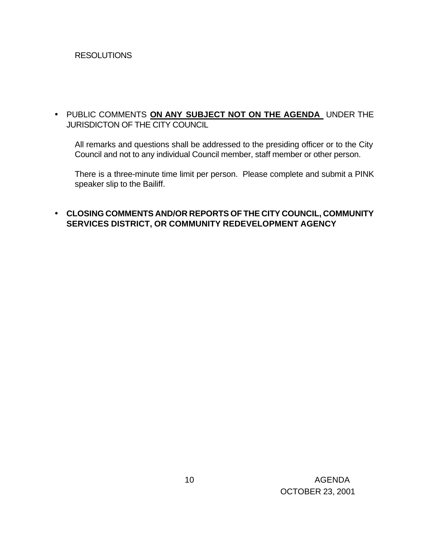#### **RESOLUTIONS**

#### • PUBLIC COMMENTS **ON ANY SUBJECT NOT ON THE AGENDA** UNDER THE JURISDICTON OF THE CITY COUNCIL

All remarks and questions shall be addressed to the presiding officer or to the City Council and not to any individual Council member, staff member or other person.

 There is a three-minute time limit per person. Please complete and submit a PINK speaker slip to the Bailiff.

#### • **CLOSING COMMENTS AND/OR REPORTS OF THE CITY COUNCIL, COMMUNITY SERVICES DISTRICT, OR COMMUNITY REDEVELOPMENT AGENCY**